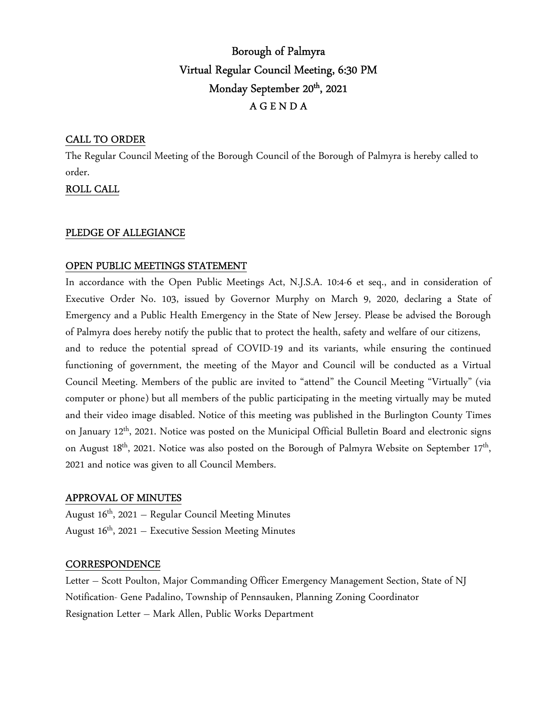# Borough of Palmyra Virtual Regular Council Meeting, 6:30 PM Monday September 20<sup>th</sup>, 2021 A G E N D A

## CALL TO ORDER

The Regular Council Meeting of the Borough Council of the Borough of Palmyra is hereby called to order.

ROLL CALL

## PLEDGE OF ALLEGIANCE

## OPEN PUBLIC MEETINGS STATEMENT

In accordance with the Open Public Meetings Act, N.J.S.A. 10:4-6 et seq., and in consideration of Executive Order No. 103, issued by Governor Murphy on March 9, 2020, declaring a State of Emergency and a Public Health Emergency in the State of New Jersey. Please be advised the Borough of Palmyra does hereby notify the public that to protect the health, safety and welfare of our citizens,

and to reduce the potential spread of COVID-19 and its variants, while ensuring the continued functioning of government, the meeting of the Mayor and Council will be conducted as a Virtual Council Meeting. Members of the public are invited to "attend" the Council Meeting "Virtually" (via computer or phone) but all members of the public participating in the meeting virtually may be muted and their video image disabled. Notice of this meeting was published in the Burlington County Times on January 12<sup>th</sup>, 2021. Notice was posted on the Municipal Official Bulletin Board and electronic signs on August 18<sup>th</sup>, 2021. Notice was also posted on the Borough of Palmyra Website on September 17<sup>th</sup>, 2021 and notice was given to all Council Members.

## APPROVAL OF MINUTES

August  $16<sup>th</sup>$ , 2021 – Regular Council Meeting Minutes August  $16<sup>th</sup>$ , 2021 – Executive Session Meeting Minutes

## **CORRESPONDENCE**

Letter – Scott Poulton, Major Commanding Officer Emergency Management Section, State of NJ Notification- Gene Padalino, Township of Pennsauken, Planning Zoning Coordinator Resignation Letter – Mark Allen, Public Works Department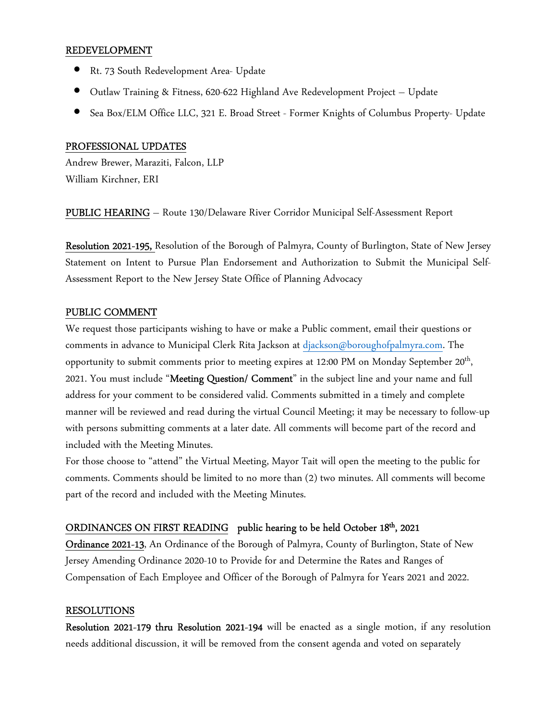#### REDEVELOPMENT

- Rt. 73 South Redevelopment Area- Update
- Outlaw Training & Fitness, 620-622 Highland Ave Redevelopment Project Update
- Sea Box/ELM Office LLC, 321 E. Broad Street Former Knights of Columbus Property- Update

#### PROFESSIONAL UPDATES

Andrew Brewer, Maraziti, Falcon, LLP William Kirchner, ERI

PUBLIC HEARING – Route 130/Delaware River Corridor Municipal Self-Assessment Report

Resolution 2021-195, Resolution of the Borough of Palmyra, County of Burlington, State of New Jersey Statement on Intent to Pursue Plan Endorsement and Authorization to Submit the Municipal Self-Assessment Report to the New Jersey State Office of Planning Advocacy

#### PUBLIC COMMENT

We request those participants wishing to have or make a Public comment, email their questions or comments in advance to Municipal Clerk Rita Jackson at djackson@boroughofpalmyra.com. The opportunity to submit comments prior to meeting expires at 12:00 PM on Monday September 20<sup>th</sup>, 2021. You must include "Meeting Question/ Comment" in the subject line and your name and full address for your comment to be considered valid. Comments submitted in a timely and complete manner will be reviewed and read during the virtual Council Meeting; it may be necessary to follow-up with persons submitting comments at a later date. All comments will become part of the record and included with the Meeting Minutes.

For those choose to "attend" the Virtual Meeting, Mayor Tait will open the meeting to the public for comments. Comments should be limited to no more than (2) two minutes. All comments will become part of the record and included with the Meeting Minutes.

## ORDINANCES ON FIRST READING public hearing to be held October 18<sup>th</sup>, 2021

Ordinance 2021-13, An Ordinance of the Borough of Palmyra, County of Burlington, State of New Jersey Amending Ordinance 2020-10 to Provide for and Determine the Rates and Ranges of Compensation of Each Employee and Officer of the Borough of Palmyra for Years 2021 and 2022.

#### RESOLUTIONS

Resolution 2021-179 thru Resolution 2021-194 will be enacted as a single motion, if any resolution needs additional discussion, it will be removed from the consent agenda and voted on separately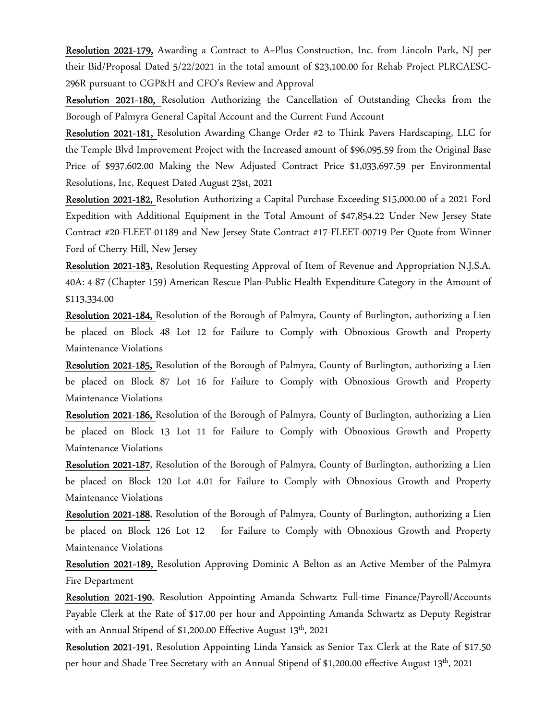Resolution 2021-179, Awarding a Contract to A=Plus Construction, Inc. from Lincoln Park, NJ per their Bid/Proposal Dated 5/22/2021 in the total amount of \$23,100.00 for Rehab Project PLRCAESC-296R pursuant to CGP&H and CFO's Review and Approval

Resolution 2021-180, Resolution Authorizing the Cancellation of Outstanding Checks from the Borough of Palmyra General Capital Account and the Current Fund Account

Resolution 2021-181, Resolution Awarding Change Order #2 to Think Pavers Hardscaping, LLC for the Temple Blvd Improvement Project with the Increased amount of \$96,095.59 from the Original Base Price of \$937,602.00 Making the New Adjusted Contract Price \$1,033,697.59 per Environmental Resolutions, Inc, Request Dated August 23st, 2021

Resolution 2021-182, Resolution Authorizing a Capital Purchase Exceeding \$15,000.00 of a 2021 Ford Expedition with Additional Equipment in the Total Amount of \$47,854.22 Under New Jersey State Contract #20-FLEET-01189 and New Jersey State Contract #17-FLEET-00719 Per Quote from Winner Ford of Cherry Hill, New Jersey

Resolution 2021-183, Resolution Requesting Approval of Item of Revenue and Appropriation N.J.S.A. 40A: 4-87 (Chapter 159) American Rescue Plan-Public Health Expenditure Category in the Amount of \$113,334.00

Resolution 2021-184, Resolution of the Borough of Palmyra, County of Burlington, authorizing a Lien be placed on Block 48 Lot 12 for Failure to Comply with Obnoxious Growth and Property Maintenance Violations

Resolution 2021-185, Resolution of the Borough of Palmyra, County of Burlington, authorizing a Lien be placed on Block 87 Lot 16 for Failure to Comply with Obnoxious Growth and Property Maintenance Violations

Resolution 2021-186, Resolution of the Borough of Palmyra, County of Burlington, authorizing a Lien be placed on Block 13 Lot 11 for Failure to Comply with Obnoxious Growth and Property Maintenance Violations

Resolution 2021-187, Resolution of the Borough of Palmyra, County of Burlington, authorizing a Lien be placed on Block 120 Lot 4.01 for Failure to Comply with Obnoxious Growth and Property Maintenance Violations

Resolution 2021-188, Resolution of the Borough of Palmyra, County of Burlington, authorizing a Lien be placed on Block 126 Lot 12 for Failure to Comply with Obnoxious Growth and Property Maintenance Violations

Resolution 2021-189, Resolution Approving Dominic A Belton as an Active Member of the Palmyra Fire Department

Resolution 2021-190, Resolution Appointing Amanda Schwartz Full-time Finance/Payroll/Accounts Payable Clerk at the Rate of \$17.00 per hour and Appointing Amanda Schwartz as Deputy Registrar with an Annual Stipend of \$1,200.00 Effective August 13<sup>th</sup>, 2021

Resolution 2021-191, Resolution Appointing Linda Yansick as Senior Tax Clerk at the Rate of \$17.50 per hour and Shade Tree Secretary with an Annual Stipend of \$1,200.00 effective August 13<sup>th</sup>, 2021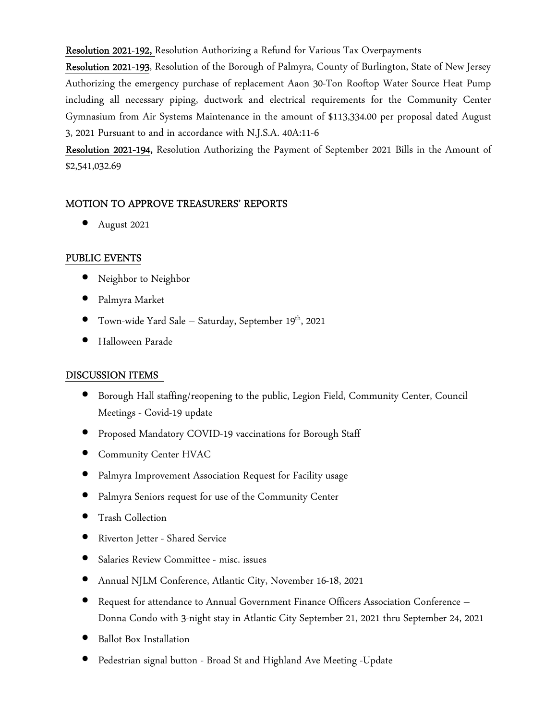Resolution 2021-192, Resolution Authorizing a Refund for Various Tax Overpayments

Resolution 2021-193, Resolution of the Borough of Palmyra, County of Burlington, State of New Jersey Authorizing the emergency purchase of replacement Aaon 30-Ton Rooftop Water Source Heat Pump including all necessary piping, ductwork and electrical requirements for the Community Center Gymnasium from Air Systems Maintenance in the amount of \$113,334.00 per proposal dated August 3, 2021 Pursuant to and in accordance with N.J.S.A. 40A:11-6

Resolution 2021-194, Resolution Authorizing the Payment of September 2021 Bills in the Amount of \$2,541,032.69

## MOTION TO APPROVE TREASURERS' REPORTS

• August 2021

## PUBLIC EVENTS

- Neighbor to Neighbor
- Palmyra Market
- Town-wide Yard Sale Saturday, September 19<sup>th</sup>, 2021
- Halloween Parade

## DISCUSSION ITEMS

- Borough Hall staffing/reopening to the public, Legion Field, Community Center, Council Meetings - Covid-19 update
- Proposed Mandatory COVID-19 vaccinations for Borough Staff
- **Community Center HVAC**
- Palmyra Improvement Association Request for Facility usage
- Palmyra Seniors request for use of the Community Center
- Trash Collection
- Riverton Jetter Shared Service
- Salaries Review Committee misc. issues
- Annual NJLM Conference, Atlantic City, November 16-18, 2021
- Request for attendance to Annual Government Finance Officers Association Conference Donna Condo with 3-night stay in Atlantic City September 21, 2021 thru September 24, 2021
- Ballot Box Installation
- Pedestrian signal button Broad St and Highland Ave Meeting -Update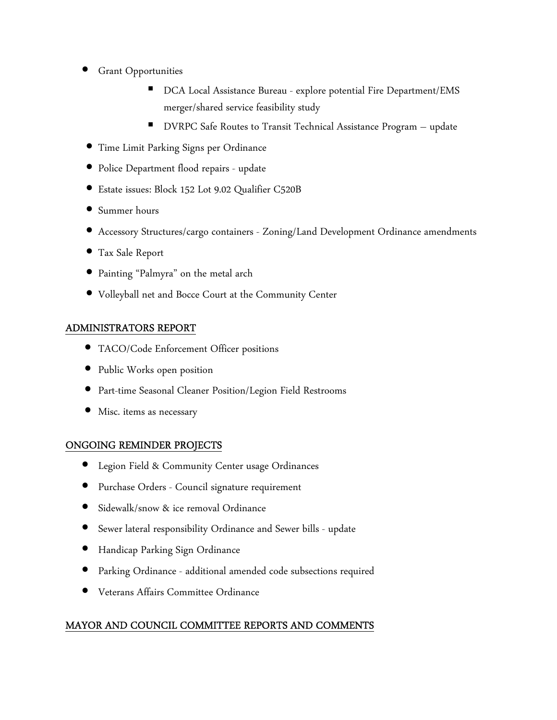- **Grant Opportunities** 
	- DCA Local Assistance Bureau explore potential Fire Department/EMS merger/shared service feasibility study
	- DVRPC Safe Routes to Transit Technical Assistance Program update
- Time Limit Parking Signs per Ordinance
- Police Department flood repairs update
- Estate issues: Block 152 Lot 9.02 Qualifier C520B
- Summer hours
- Accessory Structures/cargo containers Zoning/Land Development Ordinance amendments
- Tax Sale Report
- Painting "Palmyra" on the metal arch
- Volleyball net and Bocce Court at the Community Center

## ADMINISTRATORS REPORT

- TACO/Code Enforcement Officer positions
- Public Works open position
- Part-time Seasonal Cleaner Position/Legion Field Restrooms
- Misc. items as necessary

## ONGOING REMINDER PROJECTS

- Legion Field & Community Center usage Ordinances
- Purchase Orders Council signature requirement
- Sidewalk/snow & ice removal Ordinance
- Sewer lateral responsibility Ordinance and Sewer bills update
- Handicap Parking Sign Ordinance
- Parking Ordinance additional amended code subsections required
- Veterans Affairs Committee Ordinance

# MAYOR AND COUNCIL COMMITTEE REPORTS AND COMMENTS